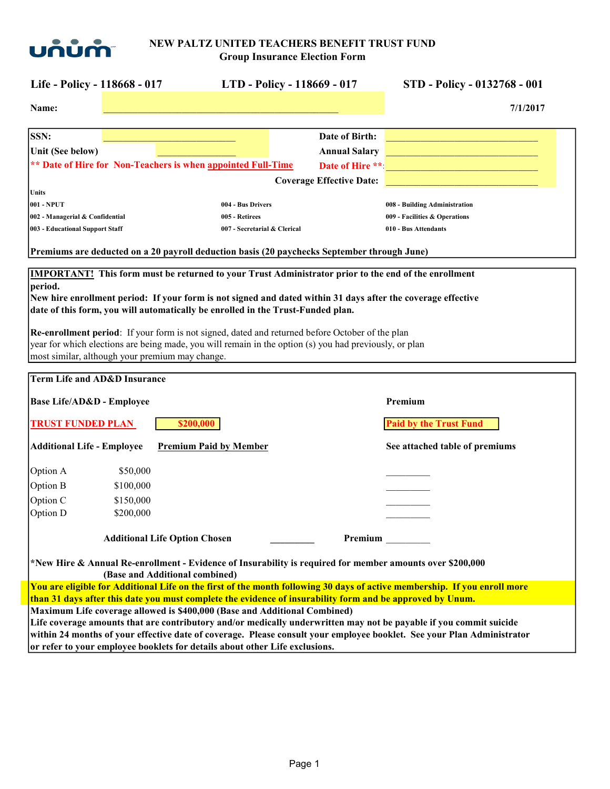

| Life - Policy - 118668 - 017                                                                                                                                                                                                                                                                                                                                                                                                                                                                                                                                                              |                                      | LTD - Policy - 118669 - 017     |                      | STD - Policy - 0132768 - 001                                                                                                                                                                                                                 |
|-------------------------------------------------------------------------------------------------------------------------------------------------------------------------------------------------------------------------------------------------------------------------------------------------------------------------------------------------------------------------------------------------------------------------------------------------------------------------------------------------------------------------------------------------------------------------------------------|--------------------------------------|---------------------------------|----------------------|----------------------------------------------------------------------------------------------------------------------------------------------------------------------------------------------------------------------------------------------|
| Name:                                                                                                                                                                                                                                                                                                                                                                                                                                                                                                                                                                                     |                                      |                                 |                      | 7/1/2017                                                                                                                                                                                                                                     |
| <b>SSN:</b>                                                                                                                                                                                                                                                                                                                                                                                                                                                                                                                                                                               |                                      |                                 | Date of Birth:       |                                                                                                                                                                                                                                              |
| Unit (See below)                                                                                                                                                                                                                                                                                                                                                                                                                                                                                                                                                                          |                                      |                                 | <b>Annual Salary</b> | and the control of the control of the control of the control of the control of                                                                                                                                                               |
| ** Date of Hire for Non-Teachers is when appointed Full-Time                                                                                                                                                                                                                                                                                                                                                                                                                                                                                                                              |                                      |                                 |                      | Date of Hire **:                                                                                                                                                                                                                             |
|                                                                                                                                                                                                                                                                                                                                                                                                                                                                                                                                                                                           |                                      | <b>Coverage Effective Date:</b> |                      |                                                                                                                                                                                                                                              |
| Units                                                                                                                                                                                                                                                                                                                                                                                                                                                                                                                                                                                     |                                      |                                 |                      |                                                                                                                                                                                                                                              |
| 001 - NPUT                                                                                                                                                                                                                                                                                                                                                                                                                                                                                                                                                                                | 004 - Bus Drivers                    |                                 |                      | 008 - Building Administration                                                                                                                                                                                                                |
| 002 - Managerial & Confidential                                                                                                                                                                                                                                                                                                                                                                                                                                                                                                                                                           | 005 - Retirees                       |                                 |                      | 009 - Facilities & Operations                                                                                                                                                                                                                |
| 003 - Educational Support Staff                                                                                                                                                                                                                                                                                                                                                                                                                                                                                                                                                           | 007 - Secretarial & Clerical         |                                 |                      | 010 - Bus Attendants                                                                                                                                                                                                                         |
| Premiums are deducted on a 20 payroll deduction basis (20 paychecks September through June)                                                                                                                                                                                                                                                                                                                                                                                                                                                                                               |                                      |                                 |                      |                                                                                                                                                                                                                                              |
| <b>IMPORTANT!</b> This form must be returned to your Trust Administrator prior to the end of the enrollment<br>period.<br>New hire enrollment period: If your form is not signed and dated within 31 days after the coverage effective<br>date of this form, you will automatically be enrolled in the Trust-Funded plan.<br>Re-enrollment period: If your form is not signed, dated and returned before October of the plan<br>year for which elections are being made, you will remain in the option (s) you had previously, or plan<br>most similar, although your premium may change. |                                      |                                 |                      |                                                                                                                                                                                                                                              |
| <b>Term Life and AD&amp;D Insurance</b>                                                                                                                                                                                                                                                                                                                                                                                                                                                                                                                                                   |                                      |                                 |                      |                                                                                                                                                                                                                                              |
| Base Life/AD&D - Employee                                                                                                                                                                                                                                                                                                                                                                                                                                                                                                                                                                 |                                      |                                 |                      | Premium                                                                                                                                                                                                                                      |
| <b>TRUST FUNDED PLAN</b>                                                                                                                                                                                                                                                                                                                                                                                                                                                                                                                                                                  | \$200,000                            |                                 |                      | <b>Paid by the Trust Fund</b>                                                                                                                                                                                                                |
| <b>Additional Life - Employee</b>                                                                                                                                                                                                                                                                                                                                                                                                                                                                                                                                                         | <b>Premium Paid by Member</b>        |                                 |                      | See attached table of premiums                                                                                                                                                                                                               |
| Option A<br>\$50,000                                                                                                                                                                                                                                                                                                                                                                                                                                                                                                                                                                      |                                      |                                 |                      |                                                                                                                                                                                                                                              |
| Option B<br>\$100,000                                                                                                                                                                                                                                                                                                                                                                                                                                                                                                                                                                     |                                      |                                 |                      |                                                                                                                                                                                                                                              |
| Option C<br>\$150,000                                                                                                                                                                                                                                                                                                                                                                                                                                                                                                                                                                     |                                      |                                 |                      |                                                                                                                                                                                                                                              |
| Option D<br>\$200,000                                                                                                                                                                                                                                                                                                                                                                                                                                                                                                                                                                     |                                      |                                 |                      |                                                                                                                                                                                                                                              |
|                                                                                                                                                                                                                                                                                                                                                                                                                                                                                                                                                                                           | <b>Additional Life Option Chosen</b> |                                 | Premium              |                                                                                                                                                                                                                                              |
| *New Hire & Annual Re-enrollment - Evidence of Insurability is required for member amounts over \$200,000                                                                                                                                                                                                                                                                                                                                                                                                                                                                                 | (Base and Additional combined)       |                                 |                      |                                                                                                                                                                                                                                              |
|                                                                                                                                                                                                                                                                                                                                                                                                                                                                                                                                                                                           |                                      |                                 |                      | You are eligible for Additional Life on the first of the month following 30 days of active membership. If you enroll more                                                                                                                    |
| than 31 days after this date you must complete the evidence of insurability form and be approved by Unum.                                                                                                                                                                                                                                                                                                                                                                                                                                                                                 |                                      |                                 |                      |                                                                                                                                                                                                                                              |
| Maximum Life coverage allowed is \$400,000 (Base and Additional Combined)                                                                                                                                                                                                                                                                                                                                                                                                                                                                                                                 |                                      |                                 |                      |                                                                                                                                                                                                                                              |
|                                                                                                                                                                                                                                                                                                                                                                                                                                                                                                                                                                                           |                                      |                                 |                      | Life coverage amounts that are contributory and/or medically underwritten may not be payable if you commit suicide<br>within 24 months of your effective date of coverage. Please consult your employee booklet. See your Plan Administrator |
| or refer to your employee booklets for details about other Life exclusions.                                                                                                                                                                                                                                                                                                                                                                                                                                                                                                               |                                      |                                 |                      |                                                                                                                                                                                                                                              |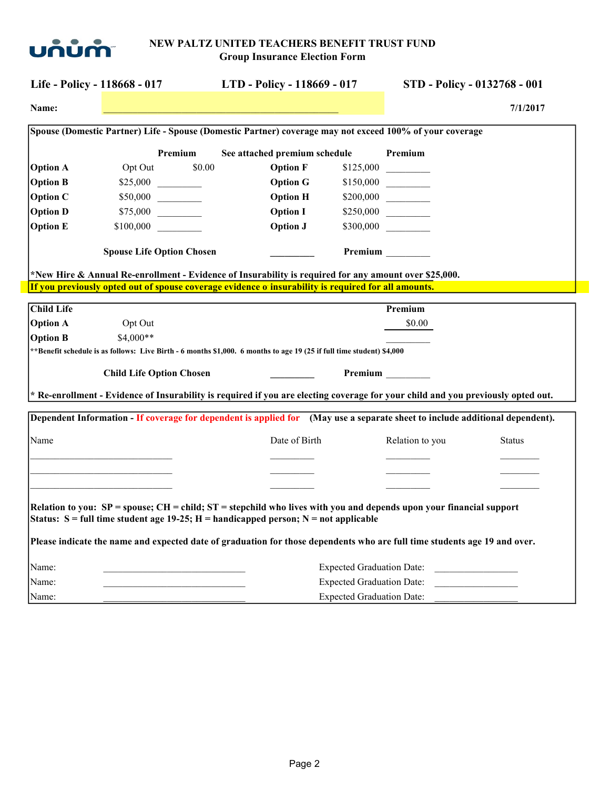

| Life - Policy - 118668 - 017 |           |                                  | LTD - Policy - 118669 - 017                                                                                                                                                                                      | STD - Policy - 0132768 - 001     |                 |               |
|------------------------------|-----------|----------------------------------|------------------------------------------------------------------------------------------------------------------------------------------------------------------------------------------------------------------|----------------------------------|-----------------|---------------|
| Name:                        |           |                                  |                                                                                                                                                                                                                  |                                  |                 | 7/1/2017      |
|                              |           |                                  | Spouse (Domestic Partner) Life - Spouse (Domestic Partner) coverage may not exceed 100% of your coverage                                                                                                         |                                  |                 |               |
|                              |           | Premium                          | See attached premium schedule                                                                                                                                                                                    |                                  | Premium         |               |
| <b>Option A</b>              | Opt Out   | \$0.00                           | <b>Option F</b>                                                                                                                                                                                                  |                                  |                 |               |
| <b>Option B</b>              |           |                                  | <b>Option G</b>                                                                                                                                                                                                  |                                  |                 |               |
| <b>Option C</b>              |           |                                  | <b>Option H</b>                                                                                                                                                                                                  |                                  |                 |               |
| <b>Option D</b>              |           | \$75,000                         | <b>Option I</b>                                                                                                                                                                                                  |                                  |                 |               |
| <b>Option E</b>              |           |                                  | <b>Option J</b>                                                                                                                                                                                                  |                                  |                 |               |
|                              |           | <b>Spouse Life Option Chosen</b> |                                                                                                                                                                                                                  |                                  | Premium         |               |
|                              |           |                                  | *New Hire & Annual Re-enrollment - Evidence of Insurability is required for any amount over \$25,000.                                                                                                            |                                  |                 |               |
|                              |           |                                  | If you previously opted out of spouse coverage evidence o insurability is required for all amounts.                                                                                                              |                                  |                 |               |
| <b>Child Life</b>            |           |                                  |                                                                                                                                                                                                                  |                                  | Premium         |               |
| <b>Option A</b>              | Opt Out   |                                  |                                                                                                                                                                                                                  |                                  | \$0.00          |               |
| <b>Option B</b>              | \$4,000** |                                  |                                                                                                                                                                                                                  |                                  |                 |               |
|                              |           |                                  | ** Benefit schedule is as follows: Live Birth - 6 months \$1,000. 6 months to age 19 (25 if full time student) \$4,000                                                                                           |                                  |                 |               |
|                              |           | <b>Child Life Option Chosen</b>  |                                                                                                                                                                                                                  |                                  | <b>Premium</b>  |               |
|                              |           |                                  | * Re-enrollment - Evidence of Insurability is required if you are electing coverage for your child and you previously opted out.                                                                                 |                                  |                 |               |
|                              |           |                                  |                                                                                                                                                                                                                  |                                  |                 |               |
|                              |           |                                  | Dependent Information - If coverage for dependent is applied for (May use a separate sheet to include additional dependent).                                                                                     |                                  |                 |               |
| Name                         |           |                                  | Date of Birth                                                                                                                                                                                                    |                                  | Relation to you | <b>Status</b> |
|                              |           |                                  |                                                                                                                                                                                                                  |                                  |                 |               |
|                              |           |                                  |                                                                                                                                                                                                                  |                                  |                 |               |
|                              |           |                                  |                                                                                                                                                                                                                  |                                  |                 |               |
|                              |           |                                  |                                                                                                                                                                                                                  |                                  |                 |               |
|                              |           |                                  | Relation to you: SP = spouse; CH = child; ST = stepchild who lives with you and depends upon your financial support<br>Status: $S = full$ time student age 19-25; $H =$ handicapped person; $N =$ not applicable |                                  |                 |               |
|                              |           |                                  |                                                                                                                                                                                                                  |                                  |                 |               |
|                              |           |                                  | Please indicate the name and expected date of graduation for those dependents who are full time students age 19 and over.                                                                                        |                                  |                 |               |
|                              |           |                                  |                                                                                                                                                                                                                  |                                  |                 |               |
|                              |           |                                  |                                                                                                                                                                                                                  | <b>Expected Graduation Date:</b> |                 |               |
| Name:<br>Name:               |           |                                  |                                                                                                                                                                                                                  | <b>Expected Graduation Date:</b> |                 |               |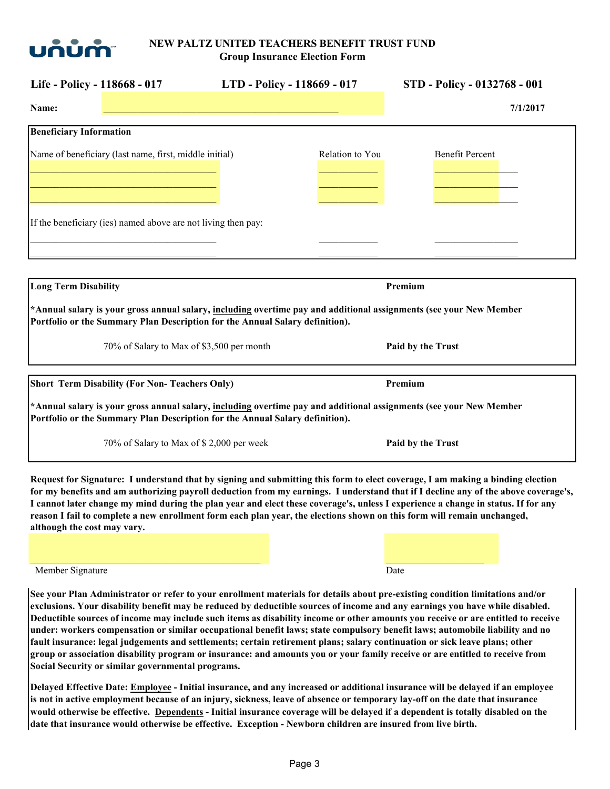

| Life - Policy - 118668 - 017                                                                                                                                                                       | LTD - Policy - 118669 - 017 | STD - Policy - 0132768 - 001 |
|----------------------------------------------------------------------------------------------------------------------------------------------------------------------------------------------------|-----------------------------|------------------------------|
| Name:                                                                                                                                                                                              |                             | 7/1/2017                     |
| <b>Beneficiary Information</b>                                                                                                                                                                     |                             |                              |
| Name of beneficiary (last name, first, middle initial)                                                                                                                                             | Relation to You             | <b>Benefit Percent</b>       |
| If the beneficiary (ies) named above are not living then pay:                                                                                                                                      |                             |                              |
| <b>Long Term Disability</b>                                                                                                                                                                        |                             | Premium                      |
| *Annual salary is your gross annual salary, including overtime pay and additional assignments (see your New Member<br>Portfolio or the Summary Plan Description for the Annual Salary definition). |                             |                              |
| 70% of Salary to Max of \$3,500 per month                                                                                                                                                          |                             | Paid by the Trust            |
| <b>Short Term Disability (For Non-Teachers Only)</b><br>*Annual salary is your gross annual salary, including overtime pay and additional assignments (see your New Member                         |                             | Premium                      |
| Portfolio or the Summary Plan Description for the Annual Salary definition).                                                                                                                       |                             |                              |
| 70% of Salary to Max of \$ 2,000 per week                                                                                                                                                          |                             | Paid by the Trust            |

Request for Signature: I understand that by signing and submitting this form to elect coverage, I am making a binding election for my benefits and am authorizing payroll deduction from my earnings. I understand that if I decline any of the above coverage's, I cannot later change my mind during the plan year and elect these coverage's, unless I experience a change in status. If for any reason I fail to complete a new enrollment form each plan year, the elections shown on this form will remain unchanged, although the cost may vary.

Member Signature Date and the Date of the Date of the Date of the Date of the Date of the Date of the Date of the Date of the Date of the Date of the Date of the Date of the Date of the Date of the Date of the Date of the

See your Plan Administrator or refer to your enrollment materials for details about pre-existing condition limitations and/or exclusions. Your disability benefit may be reduced by deductible sources of income and any earnings you have while disabled. Deductible sources of income may include such items as disability income or other amounts you receive or are entitled to receive under: workers compensation or similar occupational benefit laws; state compulsory benefit laws; automobile liability and no fault insurance: legal judgements and settlements; certain retirement plans; salary continuation or sick leave plans; other group or association disability program or insurance: and amounts you or your family receive or are entitled to receive from Social Security or similar governmental programs.

 $\mathcal{L}_\mathcal{L} = \mathcal{L}_\mathcal{L} = \mathcal{L}_\mathcal{L} = \mathcal{L}_\mathcal{L} = \mathcal{L}_\mathcal{L} = \mathcal{L}_\mathcal{L} = \mathcal{L}_\mathcal{L} = \mathcal{L}_\mathcal{L} = \mathcal{L}_\mathcal{L} = \mathcal{L}_\mathcal{L} = \mathcal{L}_\mathcal{L} = \mathcal{L}_\mathcal{L} = \mathcal{L}_\mathcal{L} = \mathcal{L}_\mathcal{L} = \mathcal{L}_\mathcal{L} = \mathcal{L}_\mathcal{L} = \mathcal{L}_\mathcal{L}$ 

Delayed Effective Date: Employee - Initial insurance, and any increased or additional insurance will be delayed if an employee is not in active employment because of an injury, sickness, leave of absence or temporary lay-off on the date that insurance would otherwise be effective. Dependents - Initial insurance coverage will be delayed if a dependent is totally disabled on the date that insurance would otherwise be effective. Exception - Newborn children are insured from live birth.